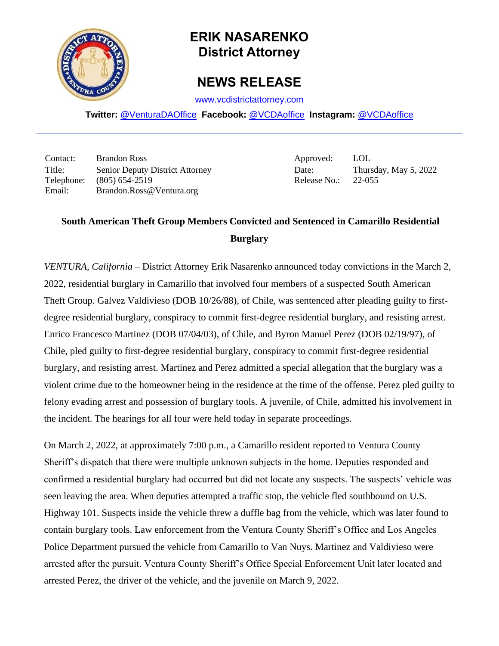

## **ERIK NASARENKO District Attorney**

## **NEWS RELEASE**

[www.vcdistrictattorney.com](http://www.vcdistrictattorney.com/)

**Twitter:** [@VenturaDAOffice](https://twitter.com/venturadaoffice) **Facebook:** [@VCDAoffice](https://facebook.com/VCDAoffice) **Instagram:** [@VCDAoffice](https://instagram.com/VCDAoffice)

Contact: Brandon Ross Approved: LOL Title: Senior Deputy District Attorney Date: Date: Thursday, May 5, 2022 Telephone: (805) 654-2519 Release No.: 22-055 Email: Brandon.Ross@Ventura.org

## **South American Theft Group Members Convicted and Sentenced in Camarillo Residential Burglary**

*VENTURA, California* – District Attorney Erik Nasarenko announced today convictions in the March 2, 2022, residential burglary in Camarillo that involved four members of a suspected South American Theft Group. Galvez Valdivieso (DOB 10/26/88), of Chile, was sentenced after pleading guilty to firstdegree residential burglary, conspiracy to commit first-degree residential burglary, and resisting arrest. Enrico Francesco Martinez (DOB 07/04/03), of Chile, and Byron Manuel Perez (DOB 02/19/97), of Chile, pled guilty to first-degree residential burglary, conspiracy to commit first-degree residential burglary, and resisting arrest. Martinez and Perez admitted a special allegation that the burglary was a violent crime due to the homeowner being in the residence at the time of the offense. Perez pled guilty to felony evading arrest and possession of burglary tools. A juvenile, of Chile, admitted his involvement in the incident. The hearings for all four were held today in separate proceedings.

On March 2, 2022, at approximately 7:00 p.m., a Camarillo resident reported to Ventura County Sheriff's dispatch that there were multiple unknown subjects in the home. Deputies responded and confirmed a residential burglary had occurred but did not locate any suspects. The suspects' vehicle was seen leaving the area. When deputies attempted a traffic stop, the vehicle fled southbound on U.S. Highway 101. Suspects inside the vehicle threw a duffle bag from the vehicle, which was later found to contain burglary tools. Law enforcement from the Ventura County Sheriff's Office and Los Angeles Police Department pursued the vehicle from Camarillo to Van Nuys. Martinez and Valdivieso were arrested after the pursuit. Ventura County Sheriff's Office Special Enforcement Unit later located and arrested Perez, the driver of the vehicle, and the juvenile on March 9, 2022.